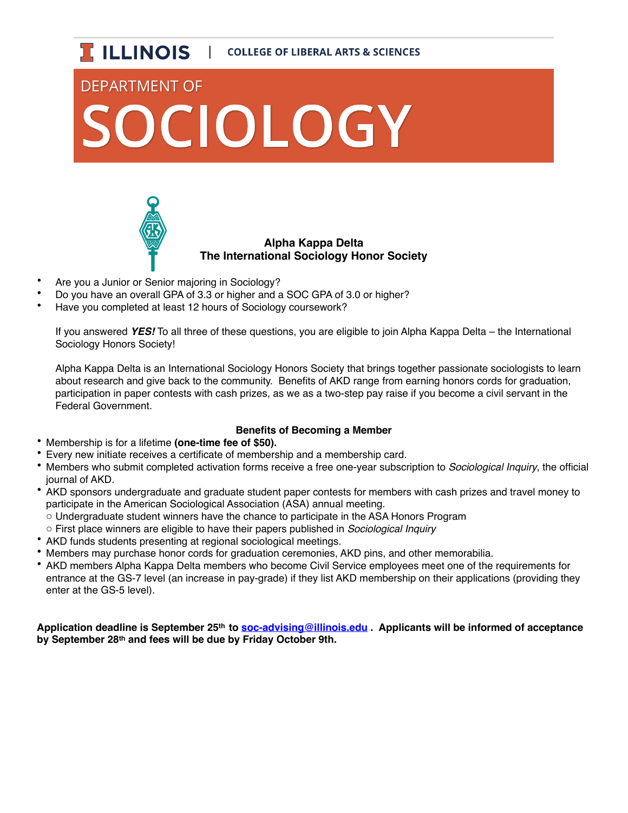

## **DEPARTMENT OF** OCIOLOGY



## **Alpha Kappa Delta The International Sociology Honor Society**

- Are you a Junior or Senior majoring in Sociology?
- Do you have an overall GPA of 3.3 or higher and a SOC GPA of 3.0 or higher?
- Have you completed at least 12 hours of Sociology coursework?

If you answered *YES!* To all three of these questions, you are eligible to join Alpha Kappa Delta – the International Sociology Honors Society!

Alpha Kappa Delta is an International Sociology Honors Society that brings together passionate sociologists to learn about research and give back to the community. Benefits of AKD range from earning honors cords for graduation, participation in paper contests with cash prizes, as we as a two-step pay raise if you become a civil servant in the Federal Government.

## **Benefits of Becoming a Member**

- Membership is for a lifetime **(one-time fee of \$50).**
- Every new initiate receives a certificate of membership and a membership card.
- Members who submit completed activation forms receive a free one-year subscription to *Sociological Inquiry*, the official journal of AKD.
- AKD sponsors undergraduate and graduate student paper contests for members with cash prizes and travel money to participate in the American Sociological Association (ASA) annual meeting.
- o Undergraduate student winners have the chance to participate in the ASA Honors Program
- o First place winners are eligible to have their papers published in *Sociological Inquiry*
- AKD funds students presenting at regional sociological meetings.
- Members may purchase honor cords for graduation ceremonies, AKD pins, and other memorabilia.
- AKD members Alpha Kappa Delta members who become Civil Service employees meet one of the requirements for entrance at the GS-7 level (an increase in pay-grade) if they list AKD membership on their applications (providing they enter at the GS-5 level).

**Application deadline is September 25th to [soc-advising@illinois.edu](mailto:soc-advising@illinois.edu) . Applicants will be informed of acceptance by September 28th and fees will be due by Friday October 9th.**